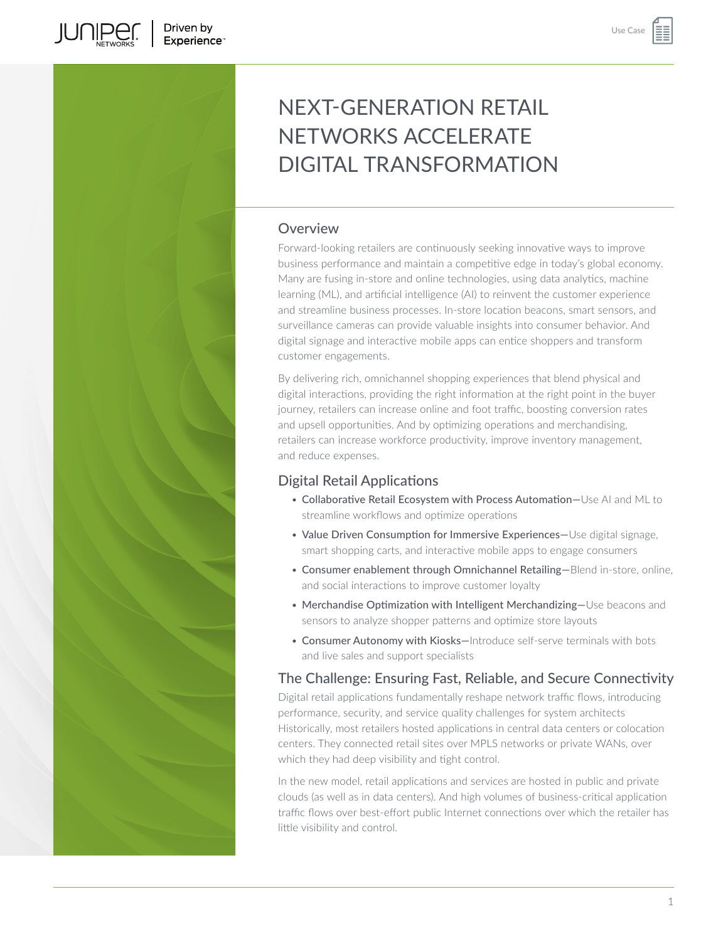**JUNIPE**C

# NEXT-GENERATION RETAIL NETWORKS ACCELERATE DIGITAL TRANSFORMATION

# Overview

Forward-looking retailers are continuously seeking innovative ways to improve business performance and maintain a competitive edge in today's global economy. Many are fusing in-store and online technologies, using data analytics, machine learning (ML), and artificial intelligence (AI) to reinvent the customer experience and streamline business processes. In-store location beacons, smart sensors, and surveillance cameras can provide valuable insights into consumer behavior. And digital signage and interactive mobile apps can entice shoppers and transform customer engagements.

By delivering rich, omnichannel shopping experiences that blend physical and digital interactions, providing the right information at the right point in the buyer journey, retailers can increase online and foot traffic, boosting conversion rates and upsell opportunities. And by optimizing operations and merchandising, retailers can increase workforce productivity, improve inventory management, and reduce expenses.

# Digital Retail Applications

- Collaborative Retail Ecosystem with Process Automation—Use AI and ML to streamline workflows and optimize operations
- Value Driven Consumption for Immersive Experiences—Use digital signage, smart shopping carts, and interactive mobile apps to engage consumers
- Consumer enablement through Omnichannel Retailing—Blend in-store, online, and social interactions to improve customer loyalty
- Merchandise Optimization with Intelligent Merchandizing—Use beacons and sensors to analyze shopper patterns and optimize store layouts
- Consumer Autonomy with Kiosks—Introduce self-serve terminals with bots and live sales and support specialists

# The Challenge: Ensuring Fast, Reliable, and Secure Connectivity

Digital retail applications fundamentally reshape network traffic flows, introducing performance, security, and service quality challenges for system architects Historically, most retailers hosted applications in central data centers or colocation centers. They connected retail sites over MPLS networks or private WANs, over which they had deep visibility and tight control.

In the new model, retail applications and services are hosted in public and private clouds (as well as in data centers). And high volumes of business-critical application traffic flows over best-effort public Internet connections over which the retailer has little visibility and control.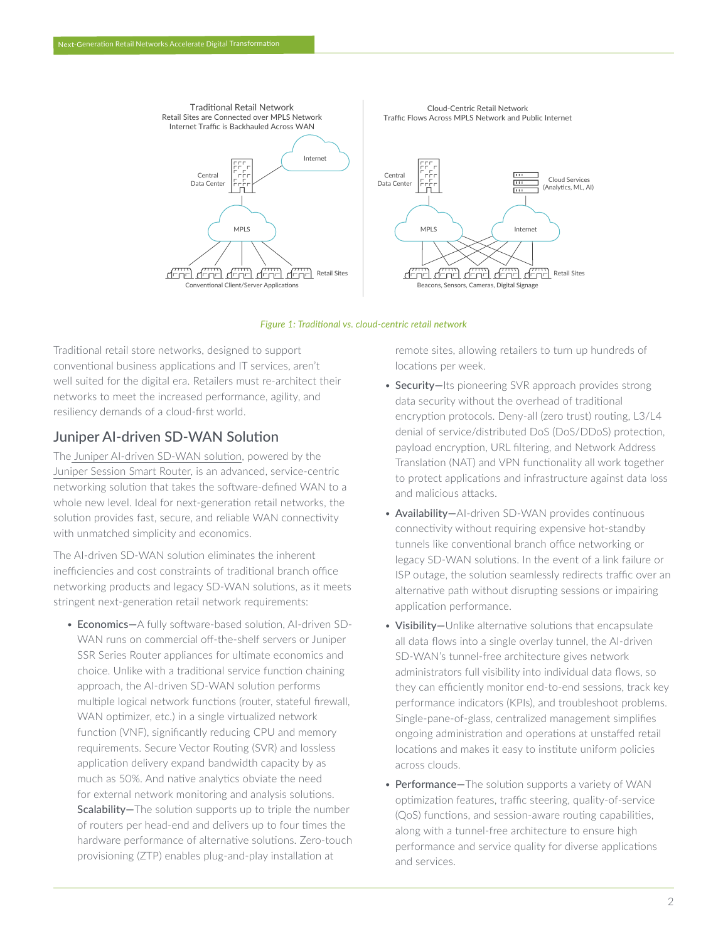

### *Figure 1: Traditional vs. cloud-centric retail network*

Traditional retail store networks, designed to support conventional business applications and IT services, aren't well suited for the digital era. Retailers must re-architect their networks to meet the increased performance, agility, and resiliency demands of a cloud-first world.

## Juniper AI-driven SD-WAN Solution

The [Juniper AI-driven SD-WAN solution,](https://www.juniper.net/us/en/solutions/sd-wan.html) powered by the [Juniper Session Smart Router](https://www.juniper.net/us/en/products/routers/session-smart-router.html), is an advanced, service-centric networking solution that takes the software-defined WAN to a whole new level. Ideal for next-generation retail networks, the solution provides fast, secure, and reliable WAN connectivity with unmatched simplicity and economics.

The AI-driven SD-WAN solution eliminates the inherent inefficiencies and cost constraints of traditional branch office networking products and legacy SD-WAN solutions, as it meets stringent next-generation retail network requirements:

• Economics—A fully software-based solution, AI-driven SD-WAN runs on commercial off-the-shelf servers or Juniper SSR Series Router appliances for ultimate economics and choice. Unlike with a traditional service function chaining approach, the AI-driven SD-WAN solution performs multiple logical network functions (router, stateful firewall, WAN optimizer, etc.) in a single virtualized network function (VNF), significantly reducing CPU and memory requirements. Secure Vector Routing (SVR) and lossless application delivery expand bandwidth capacity by as much as 50%. And native analytics obviate the need for external network monitoring and analysis solutions. Scalability-The solution supports up to triple the number of routers per head-end and delivers up to four times the hardware performance of alternative solutions. Zero-touch provisioning (ZTP) enables plug-and-play installation at

remote sites, allowing retailers to turn up hundreds of locations per week.

- Security-Its pioneering SVR approach provides strong data security without the overhead of traditional encryption protocols. Deny-all (zero trust) routing, L3/L4 denial of service/distributed DoS (DoS/DDoS) protection, payload encryption, URL filtering, and Network Address Translation (NAT) and VPN functionality all work together to protect applications and infrastructure against data loss and malicious attacks.
- Availability-AI-driven SD-WAN provides continuous connectivity without requiring expensive hot-standby tunnels like conventional branch office networking or legacy SD-WAN solutions. In the event of a link failure or ISP outage, the solution seamlessly redirects traffic over an alternative path without disrupting sessions or impairing application performance.
- Visibility-Unlike alternative solutions that encapsulate all data flows into a single overlay tunnel, the AI-driven SD-WAN's tunnel-free architecture gives network administrators full visibility into individual data flows, so they can efficiently monitor end-to-end sessions, track key performance indicators (KPIs), and troubleshoot problems. Single-pane-of-glass, centralized management simplifies ongoing administration and operations at unstaffed retail locations and makes it easy to institute uniform policies across clouds.
- Performance-The solution supports a variety of WAN optimization features, traffic steering, quality-of-service (QoS) functions, and session-aware routing capabilities, along with a tunnel-free architecture to ensure high performance and service quality for diverse applications and services.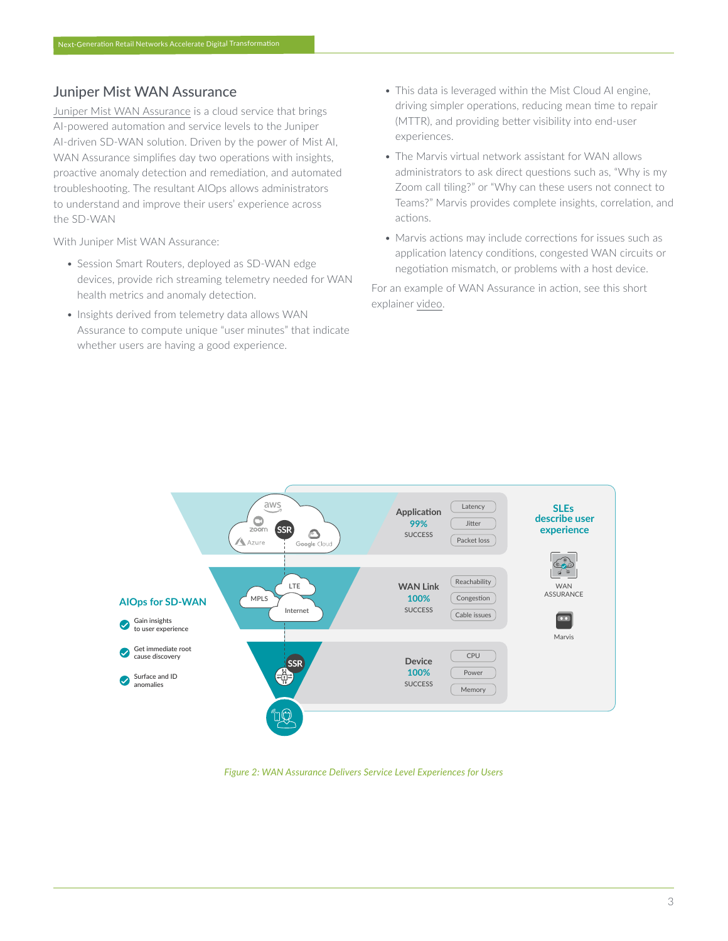# Juniper Mist WAN Assurance

[Juniper Mist WAN Assurance](https://www.juniper.net/us/en/products/cloud-services/wan-assurance.html) is a cloud service that brings AI-powered automation and service levels to the Juniper AI-driven SD-WAN solution. Driven by the power of Mist AI, WAN Assurance simplifies day two operations with insights, proactive anomaly detection and remediation, and automated troubleshooting. The resultant AIOps allows administrators to understand and improve their users' experience across the SD-WAN

With Juniper Mist WAN Assurance:

- Session Smart Routers, deployed as SD-WAN edge devices, provide rich streaming telemetry needed for WAN health metrics and anomaly detection.
- Insights derived from telemetry data allows WAN Assurance to compute unique "user minutes" that indicate whether users are having a good experience.
- This data is leveraged within the Mist Cloud AI engine, driving simpler operations, reducing mean time to repair (MTTR), and providing better visibility into end-user experiences.
- The Marvis virtual network assistant for WAN allows administrators to ask direct questions such as, "Why is my Zoom call tiling?" or "Why can these users not connect to Teams?" Marvis provides complete insights, correlation, and actions.
- Marvis actions may include corrections for issues such as application latency conditions, congested WAN circuits or negotiation mismatch, or problems with a host device.

For an example of WAN Assurance in action, see this short explainer [video](https://www.youtube.com/watch?v=iW9vuOaC1i4).



*Figure 2: WAN Assurance Delivers Service Level Experiences for Users*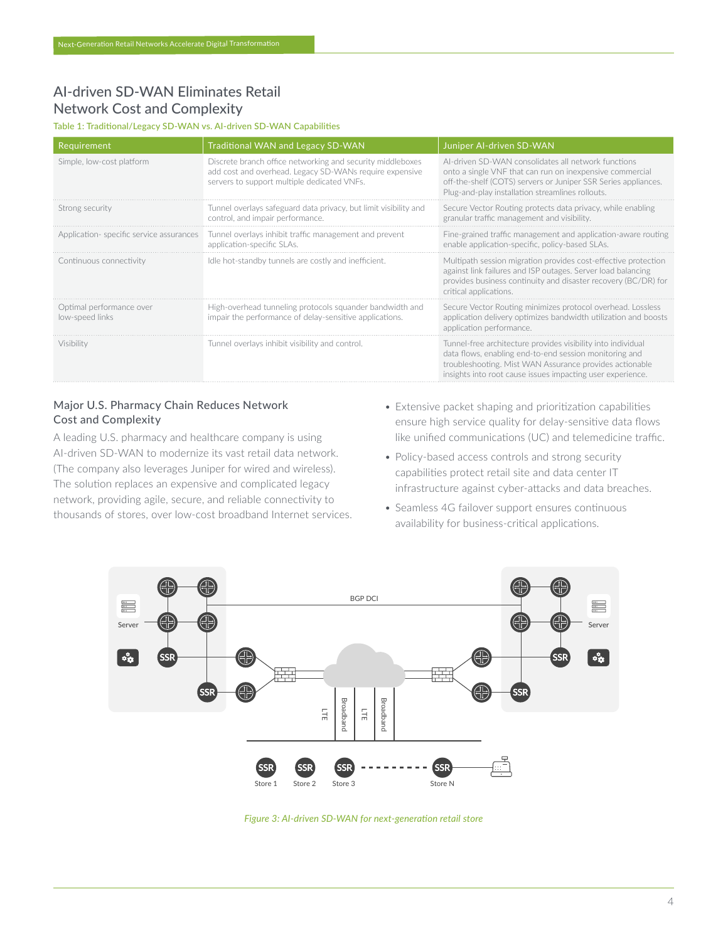# AI-driven SD-WAN Eliminates Retail Network Cost and Complexity

### Table 1: Traditional/Legacy SD-WAN vs. AI-driven SD-WAN Capabilities

| Requirement                                 | <b>Traditional WAN and Legacy SD-WAN</b>                                                                                                                             | Juniper AI-driven SD-WAN                                                                                                                                                                                                                        |
|---------------------------------------------|----------------------------------------------------------------------------------------------------------------------------------------------------------------------|-------------------------------------------------------------------------------------------------------------------------------------------------------------------------------------------------------------------------------------------------|
| Simple, low-cost platform                   | Discrete branch office networking and security middleboxes<br>add cost and overhead. Legacy SD-WANs require expensive<br>servers to support multiple dedicated VNFs. | Al-driven SD-WAN consolidates all network functions<br>onto a single VNF that can run on inexpensive commercial<br>off-the-shelf (COTS) servers or Juniper SSR Series appliances.<br>Plug-and-play installation streamlines rollouts.           |
| Strong security                             | Tunnel overlavs safeguard data privacy, but limit visibility and<br>control, and impair performance.                                                                 | Secure Vector Routing protects data privacy, while enabling<br>granular traffic management and visibility.                                                                                                                                      |
| Application-specific service assurances     | Tunnel overlays inhibit traffic management and prevent<br>application-specific SLAs.                                                                                 | Fine-grained traffic management and application-aware routing<br>enable application-specific, policy-based SLAs.                                                                                                                                |
| Continuous connectivity                     | Idle hot-standby tunnels are costly and inefficient.                                                                                                                 | Multipath session migration provides cost-effective protection<br>against link failures and ISP outages. Server load balancing<br>provides business continuity and disaster recovery (BC/DR) for<br>critical applications.                      |
| Optimal performance over<br>low-speed links | High-overhead tunneling protocols squander bandwidth and<br>impair the performance of delay-sensitive applications.                                                  | Secure Vector Routing minimizes protocol overhead. Lossless<br>application delivery optimizes bandwidth utilization and boosts<br>application performance.                                                                                      |
| Visibility                                  | Tunnel overlays inhibit visibility and control.                                                                                                                      | Tunnel-free architecture provides visibility into individual<br>data flows, enabling end-to-end session monitoring and<br>troubleshooting. Mist WAN Assurance provides actionable<br>insights into root cause issues impacting user experience. |

## Major U.S. Pharmacy Chain Reduces Network Cost and Complexity

A leading U.S. pharmacy and healthcare company is using AI-driven SD-WAN to modernize its vast retail data network. (The company also leverages Juniper for wired and wireless). The solution replaces an expensive and complicated legacy network, providing agile, secure, and reliable connectivity to thousands of stores, over low-cost broadband Internet services.

- Extensive packet shaping and prioritization capabilities ensure high service quality for delay-sensitive data flows like unified communications (UC) and telemedicine traffic.
- Policy-based access controls and strong security capabilities protect retail site and data center IT infrastructure against cyber-attacks and data breaches.
- Seamless 4G failover support ensures continuous availability for business-critical applications.



*Figure 3: AI-driven SD-WAN for next-generation retail store*